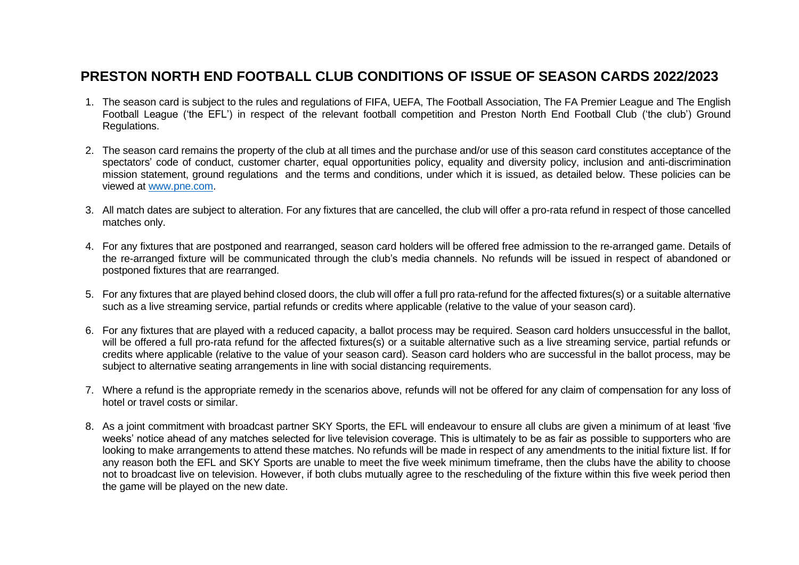## **PRESTON NORTH END FOOTBALL CLUB CONDITIONS OF ISSUE OF SEASON CARDS 2022/2023**

- 1. The season card is subject to the rules and regulations of FIFA, UEFA, The Football Association, The FA Premier League and The English Football League ('the EFL') in respect of the relevant football competition and Preston North End Football Club ('the club') Ground Regulations.
- 2. The season card remains the property of the club at all times and the purchase and/or use of this season card constitutes acceptance of the spectators' code of conduct, customer charter, equal opportunities policy, equality and diversity policy, inclusion and anti-discrimination mission statement, ground regulations and the terms and conditions, under which it is issued, as detailed below. These policies can be viewed at [www.pne.com.](http://www.pne.com/)
- 3. All match dates are subject to alteration. For any fixtures that are cancelled, the club will offer a pro-rata refund in respect of those cancelled matches only.
- 4. For any fixtures that are postponed and rearranged, season card holders will be offered free admission to the re-arranged game. Details of the re-arranged fixture will be communicated through the club's media channels. No refunds will be issued in respect of abandoned or postponed fixtures that are rearranged.
- 5. For any fixtures that are played behind closed doors, the club will offer a full pro rata-refund for the affected fixtures(s) or a suitable alternative such as a live streaming service, partial refunds or credits where applicable (relative to the value of your season card).
- 6. For any fixtures that are played with a reduced capacity, a ballot process may be required. Season card holders unsuccessful in the ballot, will be offered a full pro-rata refund for the affected fixtures(s) or a suitable alternative such as a live streaming service, partial refunds or credits where applicable (relative to the value of your season card). Season card holders who are successful in the ballot process, may be subject to alternative seating arrangements in line with social distancing requirements.
- 7. Where a refund is the appropriate remedy in the scenarios above, refunds will not be offered for any claim of compensation for any loss of hotel or travel costs or similar.
- 8. As a joint commitment with broadcast partner SKY Sports, the EFL will endeavour to ensure all clubs are given a minimum of at least 'five weeks' notice ahead of any matches selected for live television coverage. This is ultimately to be as fair as possible to supporters who are looking to make arrangements to attend these matches. No refunds will be made in respect of any amendments to the initial fixture list. If for any reason both the EFL and SKY Sports are unable to meet the five week minimum timeframe, then the clubs have the ability to choose not to broadcast live on television. However, if both clubs mutually agree to the rescheduling of the fixture within this five week period then the game will be played on the new date.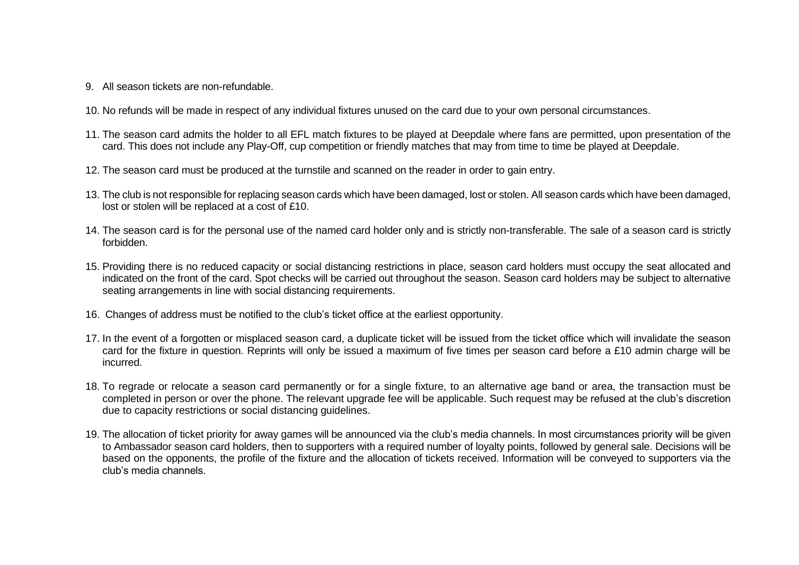- 9. All season tickets are non-refundable.
- 10. No refunds will be made in respect of any individual fixtures unused on the card due to your own personal circumstances.
- 11. The season card admits the holder to all EFL match fixtures to be played at Deepdale where fans are permitted, upon presentation of the card. This does not include any Play-Off, cup competition or friendly matches that may from time to time be played at Deepdale.
- 12. The season card must be produced at the turnstile and scanned on the reader in order to gain entry.
- 13. The club is not responsible for replacing season cards which have been damaged, lost or stolen. All season cards which have been damaged, lost or stolen will be replaced at a cost of £10.
- 14. The season card is for the personal use of the named card holder only and is strictly non-transferable. The sale of a season card is strictly forbidden.
- 15. Providing there is no reduced capacity or social distancing restrictions in place, season card holders must occupy the seat allocated and indicated on the front of the card. Spot checks will be carried out throughout the season. Season card holders may be subject to alternative seating arrangements in line with social distancing requirements.
- 16. Changes of address must be notified to the club's ticket office at the earliest opportunity.
- 17. In the event of a forgotten or misplaced season card, a duplicate ticket will be issued from the ticket office which will invalidate the season card for the fixture in question. Reprints will only be issued a maximum of five times per season card before a £10 admin charge will be incurred.
- 18. To regrade or relocate a season card permanently or for a single fixture, to an alternative age band or area, the transaction must be completed in person or over the phone. The relevant upgrade fee will be applicable. Such request may be refused at the club's discretion due to capacity restrictions or social distancing guidelines.
- 19. The allocation of ticket priority for away games will be announced via the club's media channels. In most circumstances priority will be given to Ambassador season card holders, then to supporters with a required number of loyalty points, followed by general sale. Decisions will be based on the opponents, the profile of the fixture and the allocation of tickets received. Information will be conveyed to supporters via the club's media channels.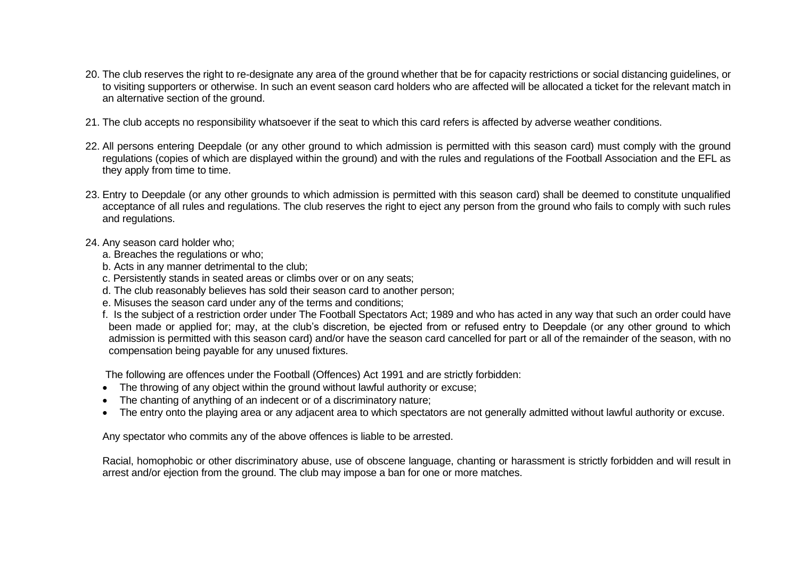- 20. The club reserves the right to re-designate any area of the ground whether that be for capacity restrictions or social distancing guidelines, or to visiting supporters or otherwise. In such an event season card holders who are affected will be allocated a ticket for the relevant match in an alternative section of the ground.
- 21. The club accepts no responsibility whatsoever if the seat to which this card refers is affected by adverse weather conditions.
- 22. All persons entering Deepdale (or any other ground to which admission is permitted with this season card) must comply with the ground regulations (copies of which are displayed within the ground) and with the rules and regulations of the Football Association and the EFL as they apply from time to time.
- 23. Entry to Deepdale (or any other grounds to which admission is permitted with this season card) shall be deemed to constitute unqualified acceptance of all rules and regulations. The club reserves the right to eject any person from the ground who fails to comply with such rules and regulations.
- 24. Any season card holder who;
	- a. Breaches the regulations or who;
	- b. Acts in any manner detrimental to the club;
	- c. Persistently stands in seated areas or climbs over or on any seats;
	- d. The club reasonably believes has sold their season card to another person;
	- e. Misuses the season card under any of the terms and conditions;
	- f. Is the subject of a restriction order under The Football Spectators Act; 1989 and who has acted in any way that such an order could have been made or applied for; may, at the club's discretion, be ejected from or refused entry to Deepdale (or any other ground to which admission is permitted with this season card) and/or have the season card cancelled for part or all of the remainder of the season, with no compensation being payable for any unused fixtures.

The following are offences under the Football (Offences) Act 1991 and are strictly forbidden:

- The throwing of any object within the ground without lawful authority or excuse;
- The chanting of anything of an indecent or of a discriminatory nature;
- The entry onto the playing area or any adjacent area to which spectators are not generally admitted without lawful authority or excuse.

Any spectator who commits any of the above offences is liable to be arrested.

Racial, homophobic or other discriminatory abuse, use of obscene language, chanting or harassment is strictly forbidden and will result in arrest and/or ejection from the ground. The club may impose a ban for one or more matches.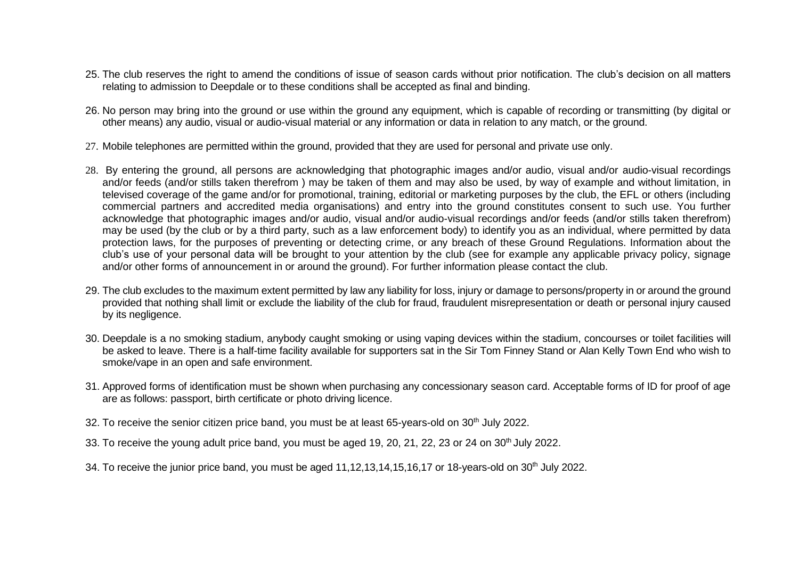- 25. The club reserves the right to amend the conditions of issue of season cards without prior notification. The club's decision on all matters relating to admission to Deepdale or to these conditions shall be accepted as final and binding.
- 26. No person may bring into the ground or use within the ground any equipment, which is capable of recording or transmitting (by digital or other means) any audio, visual or audio-visual material or any information or data in relation to any match, or the ground.
- 27. Mobile telephones are permitted within the ground, provided that they are used for personal and private use only.
- 28. By entering the ground, all persons are acknowledging that photographic images and/or audio, visual and/or audio-visual recordings and/or feeds (and/or stills taken therefrom ) may be taken of them and may also be used, by way of example and without limitation, in televised coverage of the game and/or for promotional, training, editorial or marketing purposes by the club, the EFL or others (including commercial partners and accredited media organisations) and entry into the ground constitutes consent to such use. You further acknowledge that photographic images and/or audio, visual and/or audio-visual recordings and/or feeds (and/or stills taken therefrom) may be used (by the club or by a third party, such as a law enforcement body) to identify you as an individual, where permitted by data protection laws, for the purposes of preventing or detecting crime, or any breach of these Ground Regulations. Information about the club's use of your personal data will be brought to your attention by the club (see for example any applicable privacy policy, signage and/or other forms of announcement in or around the ground). For further information please contact the club.
- 29. The club excludes to the maximum extent permitted by law any liability for loss, injury or damage to persons/property in or around the ground provided that nothing shall limit or exclude the liability of the club for fraud, fraudulent misrepresentation or death or personal injury caused by its negligence.
- 30. Deepdale is a no smoking stadium, anybody caught smoking or using vaping devices within the stadium, concourses or toilet facilities will be asked to leave. There is a half-time facility available for supporters sat in the Sir Tom Finney Stand or Alan Kelly Town End who wish to smoke/vape in an open and safe environment.
- 31. Approved forms of identification must be shown when purchasing any concessionary season card. Acceptable forms of ID for proof of age are as follows: passport, birth certificate or photo driving licence.
- 32. To receive the senior citizen price band, you must be at least 65-years-old on 30<sup>th</sup> July 2022.
- 33. To receive the young adult price band, you must be aged 19, 20, 21, 22, 23 or 24 on 30<sup>th</sup> July 2022.
- 34. To receive the junior price band, you must be aged  $11,12,13,14,15,16,17$  or 18-years-old on  $30<sup>th</sup>$  July 2022.